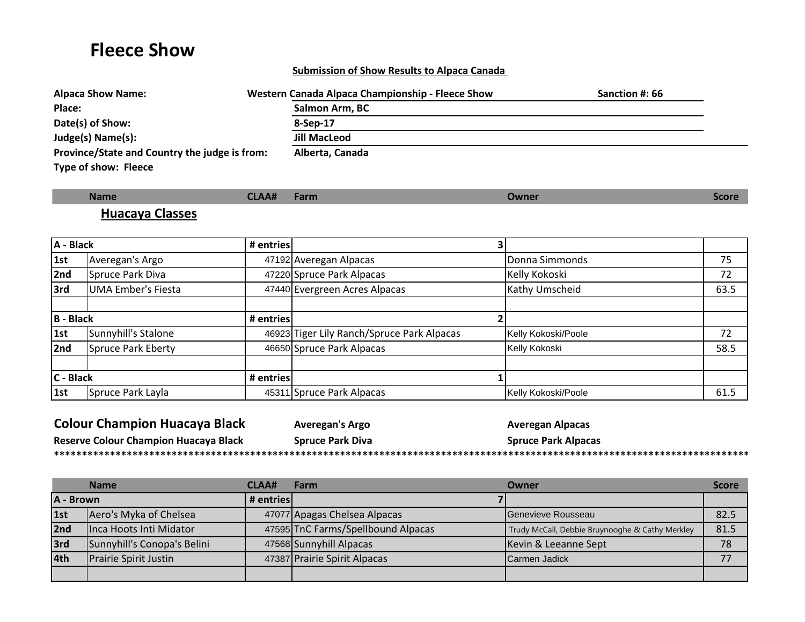# **Fleece Show**

#### **Submission of Show Results to Alpaca Canada**

| <b>Alpaca Show Name:</b>                      | Western Canada Alpaca Championship - Fleece Show | Sanction #: 66 |
|-----------------------------------------------|--------------------------------------------------|----------------|
| Place:                                        | Salmon Arm, BC                                   |                |
| Date(s) of Show:                              | 8-Sep-17                                         |                |
| Judge(s) Name(s):                             | <b>Jill MacLeod</b>                              |                |
| Province/State and Country the judge is from: | Alberta, Canada                                  |                |
| Type of show: Fleece                          |                                                  |                |

| <b>Name</b>  | <u>ганн </u> | ture |
|--------------|--------------|------|
| Classes<br>. |              |      |

| A - Black        |                           | # entries |                                            |                     |      |
|------------------|---------------------------|-----------|--------------------------------------------|---------------------|------|
| 1st              | Averegan's Argo           |           | 47192 Averegan Alpacas                     | Donna Simmonds      | 75   |
| 2nd              | Spruce Park Diva          |           | 47220 Spruce Park Alpacas                  | Kelly Kokoski       | 72   |
| 3rd              | <b>UMA Ember's Fiesta</b> |           | 47440 Evergreen Acres Alpacas              | Kathy Umscheid      | 63.5 |
| <b>B</b> - Black |                           | # entries |                                            |                     |      |
| 1st              | Sunnyhill's Stalone       |           | 46923 Tiger Lily Ranch/Spruce Park Alpacas | Kelly Kokoski/Poole | 72   |
| 2nd              | Spruce Park Eberty        |           | 46650 Spruce Park Alpacas                  | Kelly Kokoski       | 58.5 |
| C - Black        |                           | # entries |                                            |                     |      |
| $\vert$ 1st      | Spruce Park Layla         |           | 45311 Spruce Park Alpacas                  | Kelly Kokoski/Poole | 61.5 |

| <b>Colour Champion Huacaya Black</b>  | <b>Averegan's Argo</b>  | <b>Averegan Alpacas</b>    |
|---------------------------------------|-------------------------|----------------------------|
| Reserve Colour Champion Huacaya Black | <b>Spruce Park Diva</b> | <b>Spruce Park Alpacas</b> |
|                                       |                         |                            |

|           | <b>Name</b>                  | CLAA#     | Farm                               | Owner                                           | <b>Score</b> |
|-----------|------------------------------|-----------|------------------------------------|-------------------------------------------------|--------------|
| A - Brown |                              | # entries |                                    |                                                 |              |
| 1st       | Aero's Myka of Chelsea       |           | 47077 Apagas Chelsea Alpacas       | Genevieve Rousseau                              | 82.5         |
| 2nd       | Inca Hoots Inti Midator      |           | 47595 TnC Farms/Spellbound Alpacas | Trudy McCall, Debbie Bruynooghe & Cathy Merkley | 81.5         |
| 3rd       | Sunnyhill's Conopa's Belini  |           | 47568 Sunnyhill Alpacas            | Kevin & Leeanne Sept                            | 78           |
| 4th       | <b>Prairie Spirit Justin</b> |           | 47387 Prairie Spirit Alpacas       | Carmen Jadick                                   | 77           |
|           |                              |           |                                    |                                                 |              |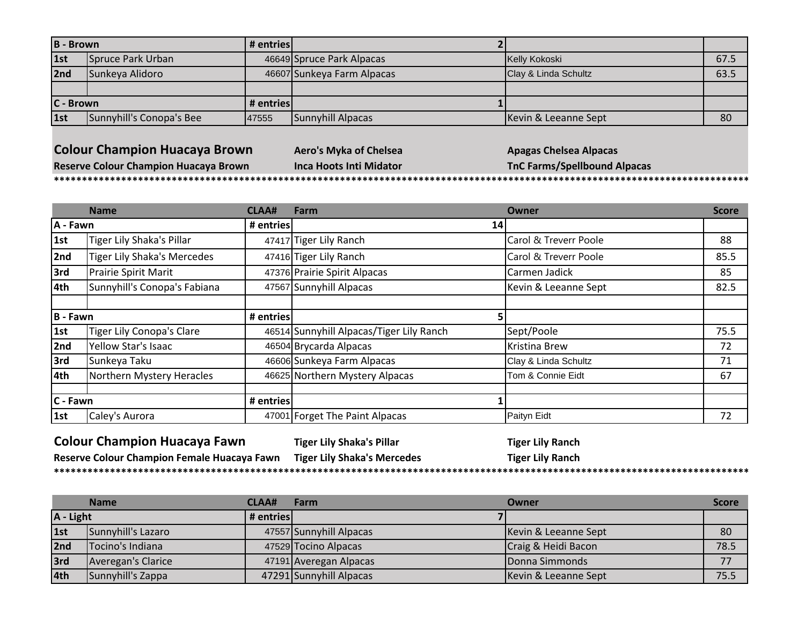| <b>B</b> - Brown |                          | # entries   |                            |                      |      |
|------------------|--------------------------|-------------|----------------------------|----------------------|------|
| 1st              | Spruce Park Urban        |             | 46649 Spruce Park Alpacas  | Kelly Kokoski        | 67.5 |
| 2nd              | Sunkeya Alidoro          |             | 46607 Sunkeya Farm Alpacas | Clay & Linda Schultz | 63.5 |
|                  |                          |             |                            |                      |      |
| C - Brown        |                          | # entries l |                            |                      |      |
| 1st              | Sunnyhill's Conopa's Bee | 47555       | Sunnyhill Alpacas          | Kevin & Leeanne Sept | 80   |

### **Colour Champion Huacaya Brown Aero's Myka of Chelsea Apagas Chelsea Alpacas**

**\*\*\*\*\*\*\*\*\*\*\*\*\*\*\*\*\*\*\*\*\*\*\*\*\*\*\*\*\*\*\*\*\*\*\*\*\*\*\*\*\*\*\*\*\*\*\*\*\*\*\*\*\*\*\*\*\*\*\*\*\*\*\*\*\*\*\*\*\*\*\*\*\*\*\*\*\*\*\*\*\*\*\*\*\*\*\*\*\*\*\*\*\*\*\*\*\*\*\*\*\*\*\*\*\*\*\*\*\*\*\*\*\*\*\*\*\*\*\*\*\*\*\*\*\*\*\*\*\*\*\*\*\*\*\*\*\*\*\*\*\*\*\*\*\*\*\*\*\*\*\*\*\*\***

**Reserve Colour Champion Huacaya Brown Inca Hoots Inti Midator TnC Farms/Spellbound Alpacas**

|          | <b>Name</b>                        | <b>CLAA#</b> | Farm                                     | Owner                 | <b>Score</b> |
|----------|------------------------------------|--------------|------------------------------------------|-----------------------|--------------|
| A - Fawn |                                    | # entries    | <b>14</b>                                |                       |              |
| 1st      | Tiger Lily Shaka's Pillar          |              | 47417 Tiger Lily Ranch                   | Carol & Treverr Poole | 88           |
| 2nd      | <b>Tiger Lily Shaka's Mercedes</b> |              | 47416 Tiger Lily Ranch                   | Carol & Treverr Poole | 85.5         |
| 3rd      | Prairie Spirit Marit               |              | 47376 Prairie Spirit Alpacas             | Carmen Jadick         | 85           |
| 4th      | Sunnyhill's Conopa's Fabiana       |              | 47567 Sunnyhill Alpacas                  | Kevin & Leeanne Sept  | 82.5         |
| B - Fawn |                                    | # entries    |                                          |                       |              |
| 1st      | Tiger Lily Conopa's Clare          |              | 46514 Sunnyhill Alpacas/Tiger Lily Ranch | Sept/Poole            | 75.5         |
| 2nd      | Yellow Star's Isaac                |              | 46504 Brycarda Alpacas                   | <b>Kristina Brew</b>  | 72           |
| 3rd      | Sunkeya Taku                       |              | 46606 Sunkeya Farm Alpacas               | Clay & Linda Schultz  | 71           |
| 4th      | Northern Mystery Heracles          |              | 46625 Northern Mystery Alpacas           | Tom & Connie Eidt     | 67           |
|          |                                    |              |                                          |                       |              |
| C - Fawn |                                    | # entries    |                                          |                       |              |
| 1st      | Caley's Aurora                     |              | 47001 Forget The Paint Alpacas           | Paityn Eidt           | 72           |

## **Colour Champion Huacaya Fawn Tiger Lily Shaka's Pillar Tiger Lily Ranch**

**Reserve Colour Champion Female Huacaya Fawn Tiger Lily Shaka's Mercedes Tiger Lily Ranch \*\*\*\*\*\*\*\*\*\*\*\*\*\*\*\*\*\*\*\*\*\*\*\*\*\*\*\*\*\*\*\*\*\*\*\*\*\*\*\*\*\*\*\*\*\*\*\*\*\*\*\*\*\*\*\*\*\*\*\*\*\*\*\*\*\*\*\*\*\*\*\*\*\*\*\*\*\*\*\*\*\*\*\*\*\*\*\*\*\*\*\*\*\*\*\*\*\*\*\*\*\*\*\*\*\*\*\*\*\*\*\*\*\*\*\*\*\*\*\*\*\*\*\*\*\*\*\*\*\*\*\*\*\*\*\*\*\*\*\*\*\*\*\*\*\*\*\*\*\*\*\*\*\***

|           | <b>Name</b>        | <b>CLAA#</b> | <b>Farm</b>             | Owner                  | <b>Score</b> |
|-----------|--------------------|--------------|-------------------------|------------------------|--------------|
| A - Light |                    | # entries    |                         |                        |              |
| 1st       | Sunnyhill's Lazaro |              | 47557 Sunnyhill Alpacas | Kevin & Leeanne Sept   | 80           |
| 2nd       | Tocino's Indiana   |              | 47529 Tocino Alpacas    | Craig & Heidi Bacon    | 78.5         |
| 3rd       | Averegan's Clarice |              | 47191 Averegan Alpacas  | <b>IDonna Simmonds</b> |              |
| 4th       | Sunnyhill's Zappa  |              | 47291 Sunnyhill Alpacas | Kevin & Leeanne Sept   | 75.5         |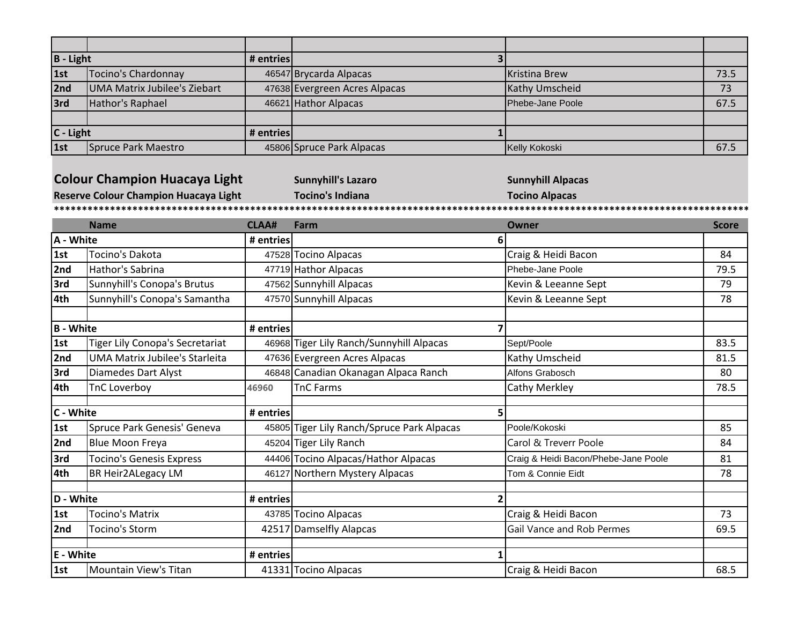| $B - Light$ |                              | # entries |                               |                         |      |
|-------------|------------------------------|-----------|-------------------------------|-------------------------|------|
| 1st         | Tocino's Chardonnay          |           | 46547 Brycarda Alpacas        | Kristina Brew           | 73.5 |
| 2nd         | UMA Matrix Jubilee's Ziebart |           | 47638 Evergreen Acres Alpacas | Kathy Umscheid          | 73   |
| 3rd         | Hathor's Raphael             |           | 46621 Hathor Alpacas          | <b>Phebe-Jane Poole</b> | 67.5 |
|             |                              |           |                               |                         |      |
| $C - Light$ |                              | # entries |                               |                         |      |
| 1st         | Spruce Park Maestro          |           | 45806 Spruce Park Alpacas     | Kelly Kokoski           | 67.5 |

**Colour Champion Huacaya Light Sunnyhill's Lazaro Sunnyhill Alpacas Sunnyhill Alpacas** 

**Reserve Colour Champion Huacaya Light Tocino's Indiana Tocino Alpacas \*\*\*\*\*\*\*\*\*\*\*\*\*\*\*\*\*\*\*\*\*\*\*\*\*\*\*\*\*\*\*\*\*\*\*\*\*\*\*\*\*\*\*\*\*\*\*\*\*\*\*\*\*\*\*\*\*\*\*\*\*\*\*\*\*\*\*\*\*\*\*\*\*\*\*\*\*\*\*\*\*\*\*\*\*\*\*\*\*\*\*\*\*\*\*\*\*\*\*\*\*\*\*\*\*\*\*\*\*\*\*\*\*\*\*\*\*\*\*\*\*\*\*\*\*\*\*\*\*\*\*\*\*\*\*\*\*\*\*\*\*\*\*\*\*\*\*\*\*\*\*\*\*\***

|                  | <b>Name</b>                            | <b>CLAA#</b> | Farm                                       | Owner                                | <b>Score</b> |
|------------------|----------------------------------------|--------------|--------------------------------------------|--------------------------------------|--------------|
| A - White        |                                        | # entries    |                                            | 6                                    |              |
| 1st              | Tocino's Dakota                        |              | 47528 Tocino Alpacas                       | Craig & Heidi Bacon                  | 84           |
| 2nd              | Hathor's Sabrina                       |              | 47719 Hathor Alpacas                       | Phebe-Jane Poole                     | 79.5         |
| 3rd              | Sunnyhill's Conopa's Brutus            |              | 47562 Sunnyhill Alpacas                    | Kevin & Leeanne Sept                 | 79           |
| 4th              | Sunnyhill's Conopa's Samantha          |              | 47570 Sunnyhill Alpacas                    | Kevin & Leeanne Sept                 | 78           |
|                  |                                        |              |                                            |                                      |              |
| <b>B</b> - White |                                        | # entries    |                                            |                                      |              |
| 1st              | <b>Tiger Lily Conopa's Secretariat</b> |              | 46968 Tiger Lily Ranch/Sunnyhill Alpacas   | Sept/Poole                           | 83.5         |
| 2nd              | <b>UMA Matrix Jubilee's Starleita</b>  |              | 47636 Evergreen Acres Alpacas              | Kathy Umscheid                       | 81.5         |
| 3rd              | <b>Diamedes Dart Alyst</b>             |              | 46848 Canadian Okanagan Alpaca Ranch       | Alfons Grabosch                      | 80           |
| 4th              | TnC Loverboy                           | 46960        | <b>TnC Farms</b>                           | <b>Cathy Merkley</b>                 | 78.5         |
| C - White        |                                        | # entries    |                                            | 5                                    |              |
| 1st              | Spruce Park Genesis' Geneva            |              | 45805 Tiger Lily Ranch/Spruce Park Alpacas | Poole/Kokoski                        | 85           |
| 2nd              | <b>Blue Moon Freya</b>                 |              | 45204 Tiger Lily Ranch                     | Carol & Treverr Poole                | 84           |
| 3rd              | <b>Tocino's Genesis Express</b>        |              | 44406 Tocino Alpacas/Hathor Alpacas        | Craig & Heidi Bacon/Phebe-Jane Poole | 81           |
| 4th              | <b>BR Heir2ALegacy LM</b>              |              | 46127 Northern Mystery Alpacas             | Tom & Connie Eidt                    | 78           |
| D - White        |                                        | # entries    |                                            |                                      |              |
| 1st              | <b>Tocino's Matrix</b>                 |              | 43785 Tocino Alpacas                       | Craig & Heidi Bacon                  | 73           |
| 2nd              | <b>Tocino's Storm</b>                  |              | 42517 Damselfly Alapcas                    | Gail Vance and Rob Permes            | 69.5         |
| E - White        |                                        | # entries    |                                            |                                      |              |
| 1st              | Mountain View's Titan                  |              | 41331 Tocino Alpacas                       | Craig & Heidi Bacon                  | 68.5         |